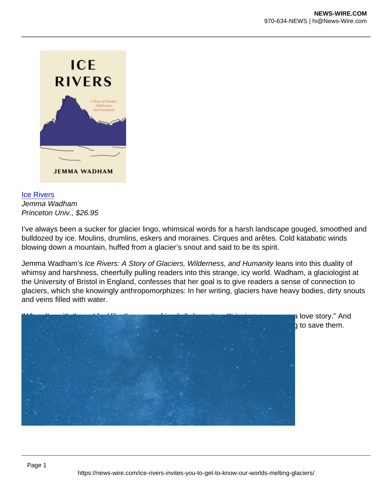[Ice Rivers](https://bookshop.org/a/21798/9780691229003) Jemma Wadham Princeton Univ., \$26.95

I've always been a sucker for glacier lingo, whimsical words for a harsh landscape gouged, smoothed and bulldozed by ice. Moulins, drumlins, eskers and moraines. Cirques and arêtes. Cold katabatic winds blowing down a mountain, huffed from a glacier's snout and said to be its spirit.

Jemma Wadham's Ice Rivers: A Story of Glaciers, Wilderness, and Humanity leans into this duality of whimsy and harshness, cheerfully pulling readers into this strange, icy world. Wadham, a glaciologist at the University of Bristol in England, confesses that her goal is to give readers a sense of connection to glaciers, which she knowingly anthropomorphizes: In her writing, glaciers have heavy bodies, dirty snouts and veins filled with water.

"When I'm with them, I feel like I'm among friends," she writes. "It is, in many ways, a love story." And knowing the glaciers, she reasons — perhaps coming to love them — is key to trying to save them.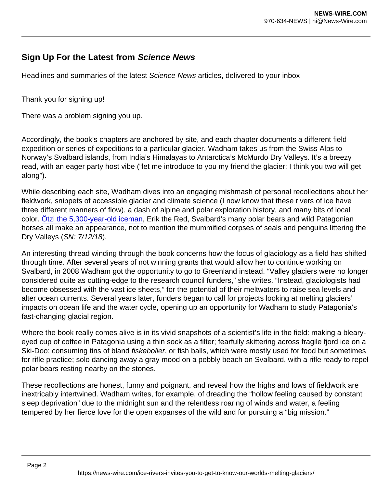## Sign Up For the Latest from Science News

Headlines and summaries of the latest Science News articles, delivered to your inbox

Thank you for signing up!

There was a problem signing you up.

Accordingly, the book's chapters are anchored by site, and each chapter documents a different field expedition or series of expeditions to a particular glacier. Wadham takes us from the Swiss Alps to Norway's Svalbard islands, from India's Himalayas to Antarctica's McMurdo Dry Valleys. It's a breezy read, with an eager party host vibe ("let me introduce to you my friend the glacier; I think you two will get along").

While describing each site, Wadham dives into an engaging mishmash of personal recollections about her fieldwork, snippets of accessible glacier and climate science (I now know that these rivers of ice have three different manners of flow), a dash of alpine and polar exploration history, and many bits of local color. [Ötzi the 5,300-year-old iceman,](https://www.sciencenews.org/article/otzi-mummy-ate-high-fat-meal-before-death) Erik the Red, Svalbard's many polar bears and wild Patagonian horses all make an appearance, not to mention the mummified corpses of seals and penguins littering the Dry Valleys (SN: 7/12/18).

An interesting thread winding through the book concerns how the focus of glaciology as a field has shifted through time. After several years of not winning grants that would allow her to continue working on Svalbard, in 2008 Wadham got the opportunity to go to Greenland instead. "Valley glaciers were no longer considered quite as cutting-edge to the research council funders," she writes. "Instead, glaciologists had become obsessed with the vast ice sheets," for the potential of their meltwaters to raise sea levels and alter ocean currents. Several years later, funders began to call for projects looking at melting glaciers' impacts on ocean life and the water cycle, opening up an opportunity for Wadham to study Patagonia's fast-changing glacial region.

Where the book really comes alive is in its vivid snapshots of a scientist's life in the field: making a blearyeyed cup of coffee in Patagonia using a thin sock as a filter; fearfully skittering across fragile fjord ice on a Ski-Doo; consuming tins of bland fiskeboller, or fish balls, which were mostly used for food but sometimes for rifle practice; solo dancing away a gray mood on a pebbly beach on Svalbard, with a rifle ready to repel polar bears resting nearby on the stones.

These recollections are honest, funny and poignant, and reveal how the highs and lows of fieldwork are inextricably intertwined. Wadham writes, for example, of dreading the "hollow feeling caused by constant sleep deprivation" due to the midnight sun and the relentless roaring of winds and water, a feeling tempered by her fierce love for the open expanses of the wild and for pursuing a "big mission."